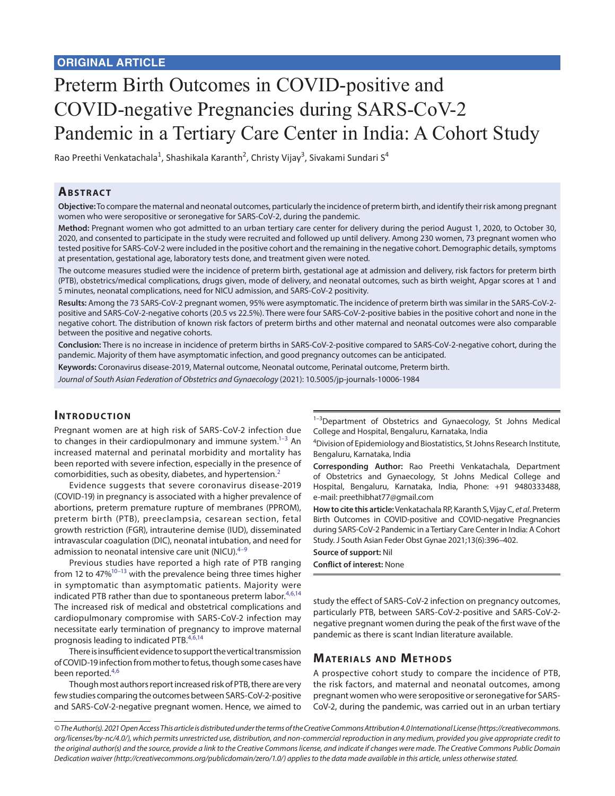# Preterm Birth Outcomes in COVID-positive and COVID-negative Pregnancies during SARS-CoV-2 Pandemic in a Tertiary Care Center in India: A Cohort Study

Rao Preethi Venkatachala<sup>1</sup>, Shashikala Karanth<sup>2</sup>, Christy Vijay<sup>3</sup>, Sivakami Sundari S<sup>4</sup>

## **ABSTRACT**

**Objective:** To compare the maternal and neonatal outcomes, particularly the incidence of preterm birth, and identify their risk among pregnant women who were seropositive or seronegative for SARS-CoV-2, during the pandemic.

**Method:** Pregnant women who got admitted to an urban tertiary care center for delivery during the period August 1, 2020, to October 30, 2020, and consented to participate in the study were recruited and followed up until delivery. Among 230 women, 73 pregnant women who tested positive for SARS-CoV-2 were included in the positive cohort and the remaining in the negative cohort. Demographic details, symptoms at presentation, gestational age, laboratory tests done, and treatment given were noted.

The outcome measures studied were the incidence of preterm birth, gestational age at admission and delivery, risk factors for preterm birth (PTB), obstetrics/medical complications, drugs given, mode of delivery, and neonatal outcomes, such as birth weight, Apgar scores at 1 and 5 minutes, neonatal complications, need for NICU admission, and SARS-CoV-2 positivity.

**Results:** Among the 73 SARS-CoV-2 pregnant women, 95% were asymptomatic. The incidence of preterm birth was similar in the SARS-CoV-2 positive and SARS-CoV-2-negative cohorts (20.5 vs 22.5%). There were four SARS-CoV-2-positive babies in the positive cohort and none in the negative cohort. The distribution of known risk factors of preterm births and other maternal and neonatal outcomes were also comparable between the positive and negative cohorts.

**Conclusion:** There is no increase in incidence of preterm births in SARS-CoV-2-positive compared to SARS-CoV-2-negative cohort, during the pandemic. Majority of them have asymptomatic infection, and good pregnancy outcomes can be anticipated.

**Keywords:** Coronavirus disease-2019, Maternal outcome, Neonatal outcome, Perinatal outcome, Preterm birth.

*Journal of South Asian Federation of Obstetrics and Gynaecology* (2021): 10.5005/jp-journals-10006-1984

## **INTRODUCTION**

Pregnant women are at high risk of SARS-CoV-2 infection due to changes in their cardiopulmonary and immune system. $1-3$  An increased maternal and perinatal morbidity and mortality has been reported with severe infection, especially in the presence of comorbidities, such as obesity, diabetes, and hypertension.[2](#page-5-2)

Evidence suggests that severe coronavirus disease-2019 (COVID-19) in pregnancy is associated with a higher prevalence of abortions, preterm premature rupture of membranes (PPROM), preterm birth (PTB), preeclampsia, cesarean section, fetal growth restriction (FGR), intrauterine demise (IUD), disseminated intravascular coagulation (DIC), neonatal intubation, and need for admission to neonatal intensive care unit (NICU). $4-9$  $4-9$ 

Previous studies have reported a high rate of PTB ranging from 12 to  $47\%^{10-13}$  with the prevalence being three times higher in symptomatic than asymptomatic patients. Majority were indicated PTB rather than due to spontaneous preterm labor.<sup>[4](#page-5-3)[,6,](#page-5-7)[14](#page-5-8)</sup> The increased risk of medical and obstetrical complications and cardiopulmonary compromise with SARS-CoV-2 infection may necessitate early termination of pregnancy to improve maternal prognosis leading to indicated PTB.<sup>[4](#page-5-3),[6](#page-5-7)[,14](#page-5-8)</sup>

There is insufficient evidence to support the vertical transmission of COVID-19 infection from mother to fetus, though some cases have been reported.<sup>[4](#page-5-3),[6](#page-5-7)</sup>

Though most authors report increased risk of PTB, there are very few studies comparing the outcomes between SARS-CoV-2-positive and SARS-CoV-2-negative pregnant women. Hence, we aimed to

<sup>1-3</sup>Department of Obstetrics and Gynaecology, St Johns Medical College and Hospital, Bengaluru, Karnataka, India

<sup>4</sup>Division of Epidemiology and Biostatistics, St Johns Research Institute, Bengaluru, Karnataka, India

**Corresponding Author:** Rao Preethi Venkatachala, Department of Obstetrics and Gynaecology, St Johns Medical College and Hospital, Bengaluru, Karnataka, India, Phone: +91 9480333488, e-mail: preethibhat77@gmail.com

**How to cite this article:** Venkatachala RP, Karanth S, Vijay C, *et al*. Preterm Birth Outcomes in COVID-positive and COVID-negative Pregnancies during SARS-CoV-2 Pandemic in a Tertiary Care Center in India: A Cohort Study. J South Asian Feder Obst Gynae 2021;13(6):396–402.

**Source of support:** Nil **Conflict of interest:** None

study the effect of SARS-CoV-2 infection on pregnancy outcomes, particularly PTB, between SARS-CoV-2-positive and SARS-CoV-2 negative pregnant women during the peak of the first wave of the pandemic as there is scant Indian literature available.

## **MATERIALS AND METHODS**

A prospective cohort study to compare the incidence of PTB, the risk factors, and maternal and neonatal outcomes, among pregnant women who were seropositive or seronegative for SARS-CoV-2, during the pandemic, was carried out in an urban tertiary

*<sup>©</sup> The Author(s). 2021 Open Access This article is distributed under the terms of the Creative Commons Attribution 4.0 International License ([https://creativecommons.](https://creativecommons. org/licenses/by-nc/4.0/)  [org/licenses/by-nc/4.0/](https://creativecommons. org/licenses/by-nc/4.0/)), which permits unrestricted use, distribution, and non-commercial reproduction in any medium, provided you give appropriate credit to the original author(s) and the source, provide a link to the Creative Commons license, and indicate if changes were made. The Creative Commons Public Domain Dedication waiver ([http://creativecommons.org/publicdomain/zero/1.0/\)](http://creativecommons.org/publicdomain/zero/1.0/) applies to the data made available in this article, unless otherwise stated.*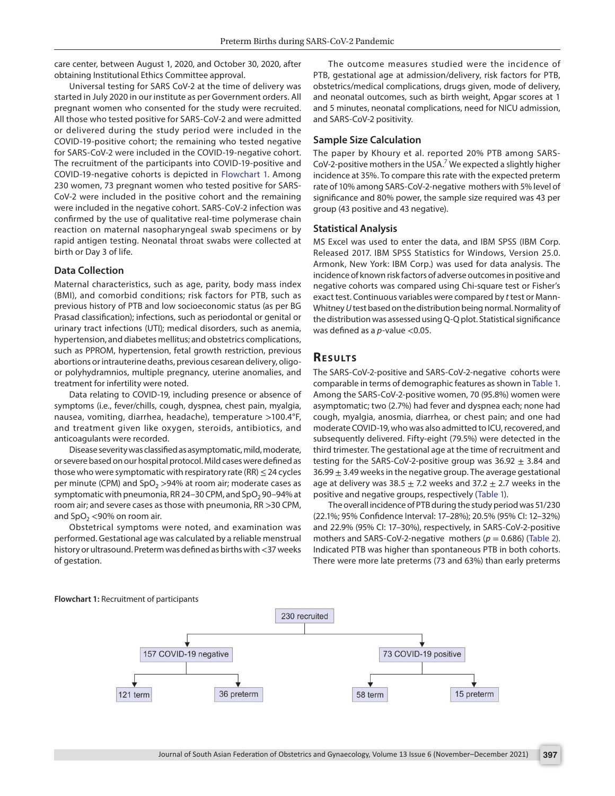care center, between August 1, 2020, and October 30, 2020, after obtaining Institutional Ethics Committee approval.

Universal testing for SARS CoV-2 at the time of delivery was started in July 2020 in our institute as per Government orders. All pregnant women who consented for the study were recruited. All those who tested positive for SARS-CoV-2 and were admitted or delivered during the study period were included in the COVID-19-positive cohort; the remaining who tested negative for SARS-CoV-2 were included in the COVID-19-negative cohort. The recruitment of the participants into COVID-19-positive and COVID-19-negative cohorts is depicted in [Flowchart 1](#page-1-0). Among 230 women, 73 pregnant women who tested positive for SARS-CoV-2 were included in the positive cohort and the remaining were included in the negative cohort. SARS-CoV-2 infection was confirmed by the use of qualitative real-time polymerase chain reaction on maternal nasopharyngeal swab specimens or by rapid antigen testing. Neonatal throat swabs were collected at birth or Day 3 of life.

#### **Data Collection**

Maternal characteristics, such as age, parity, body mass index (BMI), and comorbid conditions; risk factors for PTB, such as previous history of PTB and low socioeconomic status (as per BG Prasad classification); infections, such as periodontal or genital or urinary tract infections (UTI); medical disorders, such as anemia, hypertension, and diabetes mellitus; and obstetrics complications, such as PPROM, hypertension, fetal growth restriction, previous abortions or intrauterine deaths, previous cesarean delivery, oligoor polyhydramnios, multiple pregnancy, uterine anomalies, and treatment for infertility were noted.

Data relating to COVID-19, including presence or absence of symptoms (i.e., fever/chills, cough, dyspnea, chest pain, myalgia, nausea, vomiting, diarrhea, headache), temperature >100.4°F, and treatment given like oxygen, steroids, antibiotics, and anticoagulants were recorded.

Disease severity was classified as asymptomatic, mild, moderate, or severe based on our hospital protocol. Mild cases were defined as those who were symptomatic with respiratory rate (RR)  $\leq$  24 cycles per minute (CPM) and  $SpO<sub>2</sub> >94%$  at room air; moderate cases as symptomatic with pneumonia, RR 24-30 CPM, and  $SpO<sub>2</sub>$  90-94% at room air; and severe cases as those with pneumonia, RR >30 CPM, and  $SpO<sub>2</sub> < 90%$  on room air.

Obstetrical symptoms were noted, and examination was performed. Gestational age was calculated by a reliable menstrual history or ultrasound. Preterm was defined as births with <37 weeks of gestation.

The outcome measures studied were the incidence of PTB, gestational age at admission/delivery, risk factors for PTB, obstetrics/medical complications, drugs given, mode of delivery, and neonatal outcomes, such as birth weight, Apgar scores at 1 and 5 minutes, neonatal complications, need for NICU admission, and SARS-CoV-2 positivity.

#### **Sample Size Calculation**

The paper by Khoury et al. reported 20% PTB among SARS-CoV-2-positive mothers in the USA.<sup>7</sup> We expected a slightly higher incidence at 35%. To compare this rate with the expected preterm rate of 10% among SARS-CoV-2-negative mothers with 5% level of significance and 80% power, the sample size required was 43 per group (43 positive and 43 negative).

#### **Statistical Analysis**

MS Excel was used to enter the data, and IBM SPSS (IBM Corp. Released 2017. IBM SPSS Statistics for Windows, Version 25.0. Armonk, New York: IBM Corp.) was used for data analysis. The incidence of known risk factors of adverse outcomes in positive and negative cohorts was compared using Chi-square test or Fisher's exact test. Continuous variables were compared by *t* test or Mann-Whitney *U* test based on the distribution being normal. Normality of the distribution was assessed using Q-Q plot. Statistical significance was defined as a *p*-value <0.05.

## **Re s u lts**

The SARS-CoV-2-positive and SARS-CoV-2-negative cohorts were comparable in terms of demographic features as shown in [Table 1](#page-2-0). Among the SARS-CoV-2-positive women, 70 (95.8%) women were asymptomatic; two (2.7%) had fever and dyspnea each; none had cough, myalgia, anosmia, diarrhea, or chest pain; and one had moderate COVID-19, who was also admitted to ICU, recovered, and subsequently delivered. Fifty-eight (79.5%) were detected in the third trimester. The gestational age at the time of recruitment and testing for the SARS-CoV-2-positive group was  $36.92 \pm 3.84$  and  $36.99 \pm 3.49$  weeks in the negative group. The average gestational age at delivery was 38.5  $\pm$  7.2 weeks and 37.2  $\pm$  2.7 weeks in the positive and negative groups, respectively ([Table 1\)](#page-2-0).

The overall incidence of PTB during the study period was 51/230 (22.1%; 95% Confidence Interval: 17–28%); 20.5% (95% CI: 12–32%) and 22.9% (95% CI: 17–30%), respectively, in SARS-CoV-2-positive mothers and SARS-CoV-2-negative mothers ( $p = 0.686$ ) ([Table 2\)](#page-2-1). Indicated PTB was higher than spontaneous PTB in both cohorts. There were more late preterms (73 and 63%) than early preterms

<span id="page-1-0"></span>

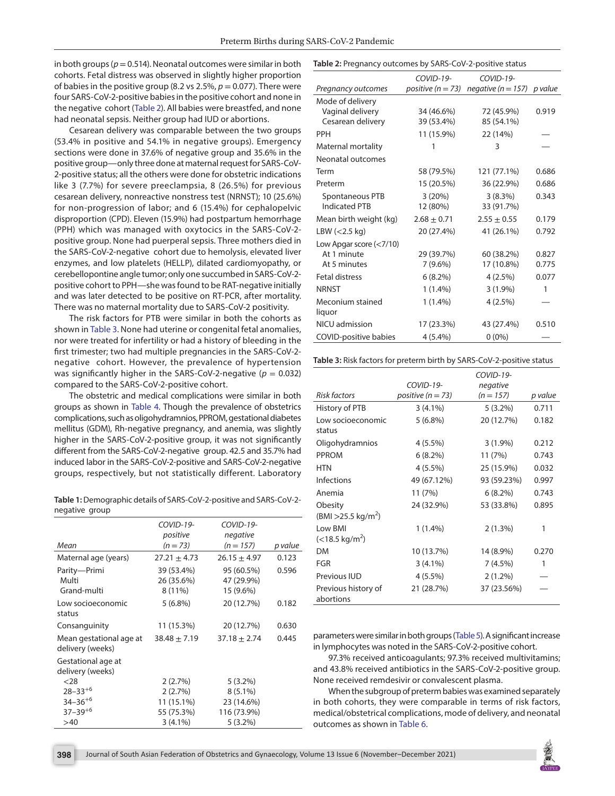in both groups ( $p = 0.514$ ). Neonatal outcomes were similar in both cohorts. Fetal distress was observed in slightly higher proportion of babies in the positive group (8.2 vs  $2.5\%$ ,  $p = 0.077$ ). There were four SARS-CoV-2-positive babies in the positive cohort and none in the negative cohort ([Table 2](#page-2-1)). All babies were breastfed, and none had neonatal sepsis. Neither group had IUD or abortions.

Cesarean delivery was comparable between the two groups (53.4% in positive and 54.1% in negative groups). Emergency sections were done in 37.6% of negative group and 35.6% in the positive group—only three done at maternal request for SARS-CoV-2-positive status; all the others were done for obstetric indications like 3 (7.7%) for severe preeclampsia, 8 (26.5%) for previous cesarean delivery, nonreactive nonstress test (NRNST); 10 (25.6%) for non-progression of labor; and 6 (15.4%) for cephalopelvic disproportion (CPD). Eleven (15.9%) had postpartum hemorrhage (PPH) which was managed with oxytocics in the SARS-CoV-2 positive group. None had puerperal sepsis. Three mothers died in the SARS-CoV-2-negative cohort due to hemolysis, elevated liver enzymes, and low platelets (HELLP), dilated cardiomyopathy, or cerebellopontine angle tumor; only one succumbed in SARS-CoV-2 positive cohort to PPH—she was found to be RAT-negative initially and was later detected to be positive on RT-PCR, after mortality. There was no maternal mortality due to SARS-CoV-2 positivity.

The risk factors for PTB were similar in both the cohorts as shown in [Table 3.](#page-2-2) None had uterine or congenital fetal anomalies, nor were treated for infertility or had a history of bleeding in the first trimester; two had multiple pregnancies in the SARS-CoV-2 negative cohort. However, the prevalence of hypertension was significantly higher in the SARS-CoV-2-negative ( $p = 0.032$ ) compared to the SARS-CoV-2-positive cohort.

The obstetric and medical complications were similar in both groups as shown in [Table 4.](#page-3-0) Though the prevalence of obstetrics complications, such as oligohydramnios, PPROM, gestational diabetes mellitus (GDM), Rh-negative pregnancy, and anemia, was slightly higher in the SARS-CoV-2-positive group, it was not significantly different from the SARS-CoV-2-negative group. 42.5 and 35.7% had induced labor in the SARS-CoV-2-positive and SARS-CoV-2-negative groups, respectively, but not statistically different. Laboratory

<span id="page-2-0"></span>**Table 1:** Demographic details of SARS-CoV-2-positive and SARS-CoV-2 negative group

|                                             | COVID-19-                           | COVID-19-                             |         |
|---------------------------------------------|-------------------------------------|---------------------------------------|---------|
|                                             | positive                            | negative                              |         |
| Mean                                        | $(n = 73)$                          | $(n = 157)$                           | p value |
| Maternal age (years)                        | $27.21 \pm 4.73$                    | $26.15 \pm 4.97$                      | 0.123   |
| Parity-Primi<br>Multi<br>Grand-multi        | 39 (53.4%)<br>26 (35.6%)<br>8 (11%) | 95 (60.5%)<br>47 (29.9%)<br>15 (9.6%) | 0.596   |
| Low socioeconomic<br>status                 | $5(6.8\%)$                          | 20 (12.7%)                            | 0.182   |
| Consanguinity                               | 11 (15.3%)                          | 20 (12.7%)                            | 0.630   |
| Mean gestational age at<br>delivery (weeks) | $38.48 \pm 7.19$                    | $37.18 + 2.74$                        | 0.445   |
| Gestational age at<br>delivery (weeks)      |                                     |                                       |         |
| $28$                                        | 2(2.7%)                             | $5(3.2\%)$                            |         |
| $28 - 33^{+6}$                              | 2(2.7%)                             | $8(5.1\%)$                            |         |
| $34 - 36^{+6}$                              | 11 (15.1%)                          | 23 (14.6%)                            |         |
| $37 - 39^{+6}$                              | 55 (75.3%)                          | 116 (73.9%)                           |         |
| >40                                         | $3(4.1\%)$                          | $5(3.2\%)$                            |         |
|                                             |                                     |                                       |         |

<span id="page-2-1"></span>

|                              | $COVID-19-$     | COVID-19-                                            |       |  |
|------------------------------|-----------------|------------------------------------------------------|-------|--|
| Pregnancy outcomes           |                 | positive ( $n = 73$ ) negative ( $n = 157$ ) p value |       |  |
| Mode of delivery             |                 |                                                      |       |  |
| Vaginal delivery             | 34 (46.6%)      | 72 (45.9%)                                           | 0.919 |  |
| Cesarean delivery            | 39 (53.4%)      | 85 (54.1%)                                           |       |  |
| <b>PPH</b>                   | 11 (15.9%)      | 22 (14%)                                             |       |  |
| Maternal mortality           | 1               | 3                                                    |       |  |
| Neonatal outcomes            |                 |                                                      |       |  |
| Term                         | 58 (79.5%)      | 121 (77.1%)                                          | 0.686 |  |
| Preterm                      | 15 (20.5%)      | 36 (22.9%)                                           | 0.686 |  |
| Spontaneous PTB              | 3(20%)          | $3(8.3\%)$                                           | 0.343 |  |
| <b>Indicated PTB</b>         | 12 (80%)        | 33 (91.7%)                                           |       |  |
| Mean birth weight (kg)       | $2.68 \pm 0.71$ | $2.55 \pm 0.55$                                      | 0.179 |  |
| LBW $(<$ 2.5 kg)             | 20 (27.4%)      | 41 (26.1%)                                           | 0.792 |  |
| Low Apgar score $(<7/10)$    |                 |                                                      |       |  |
| At 1 minute                  | 29 (39.7%)      | 60 (38.2%)                                           | 0.827 |  |
| At 5 minutes                 | $7(9.6\%)$      | 17 (10.8%)                                           | 0.775 |  |
| <b>Fetal distress</b>        | $6(8.2\%)$      | $4(2.5\%)$                                           | 0.077 |  |
| <b>NRNST</b>                 | $1(1.4\%)$      | $3(1.9\%)$                                           | 1     |  |
| Meconium stained             | $1(1.4\%)$      | $4(2.5\%)$                                           |       |  |
| liquor                       |                 |                                                      |       |  |
| NICU admission               | 17 (23.3%)      | 43 (27.4%)                                           | 0.510 |  |
| <b>COVID-positive babies</b> | $4(5.4\%)$      | $0(0\%)$                                             |       |  |

<span id="page-2-2"></span>**Table 3:** Risk factors for preterm birth by SARS-CoV-2-positive status

|                                            | COVID-19-             | COVID-19-<br>negative |         |
|--------------------------------------------|-----------------------|-----------------------|---------|
| Risk factors                               | positive ( $n = 73$ ) | $(n = 157)$           | p value |
| History of PTB                             | $3(4.1\%)$            | $5(3.2\%)$            | 0.711   |
| Low socioeconomic<br>status                | $5(6.8\%)$            | 20 (12.7%)            | 0.182   |
| Oligohydramnios                            | $4(5.5\%)$            | $3(1.9\%)$            | 0.212   |
| PPROM                                      | $6(8.2\%)$            | 11(7%)                | 0.743   |
| HTN                                        | $4(5.5\%)$            | 25 (15.9%)            | 0.032   |
| <b>Infections</b>                          | 49 (67.12%)           | 93 (59.23%)           | 0.997   |
| Anemia                                     | 11(7%)                | $6(8.2\%)$            | 0.743   |
| Obesity<br>(BMI > 25.5 kg/m <sup>2</sup> ) | 24 (32.9%)            | 53 (33.8%)            | 0.895   |
| Low BMI<br>$(<$ 18.5 kg/m <sup>2</sup> )   | $1(1.4\%)$            | 2(1.3%)               | 1       |
| DM                                         | 10 (13.7%)            | 14 (8.9%)             | 0.270   |
| FGR                                        | $3(4.1\%)$            | $7(4.5\%)$            | 1       |
| Previous IUD                               | $4(5.5\%)$            | $2(1.2\%)$            |         |
| Previous history of<br>abortions           | 21 (28.7%)            | 37 (23.56%)           |         |

parameters were similar in both groups ([Table 5](#page-3-1)). A significant increase in lymphocytes was noted in the SARS-CoV-2-positive cohort.

97.3% received anticoagulants; 97.3% received multivitamins; and 43.8% received antibiotics in the SARS-CoV-2-positive group. None received remdesivir or convalescent plasma.

When the subgroup of preterm babies was examined separately in both cohorts, they were comparable in terms of risk factors, medical/obstetrical complications, mode of delivery, and neonatal outcomes as shown in [Table 6](#page-3-2).

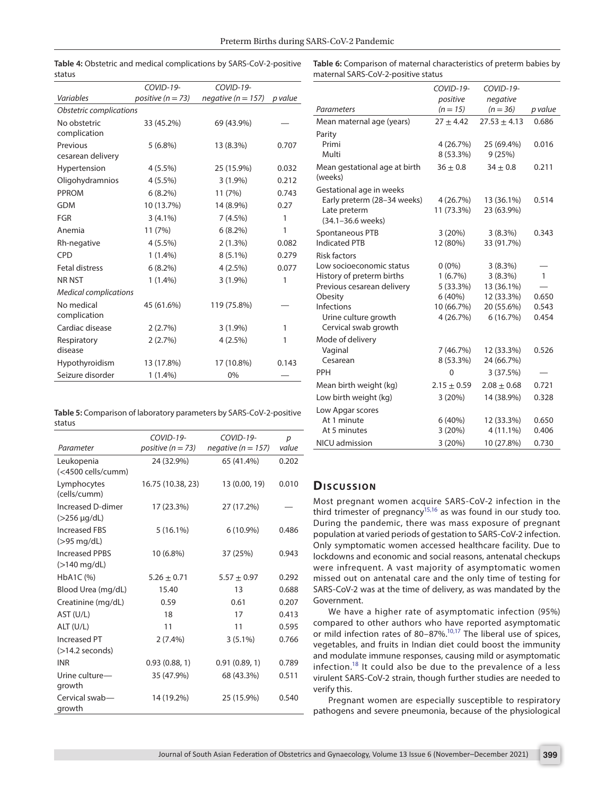<span id="page-3-0"></span>

|        |  | Table 4: Obstetric and medical complications by SARS-CoV-2-positive |
|--------|--|---------------------------------------------------------------------|
| status |  |                                                                     |

<span id="page-3-2"></span>**Table 6:** Comparison of maternal characteristics of preterm babies by maternal SARS-CoV-2-positive status

|                              | COVID-19-             | COVID-19-              |         |  |
|------------------------------|-----------------------|------------------------|---------|--|
| Variables                    | positive ( $n = 73$ ) | negative ( $n = 157$ ) | p value |  |
| Obstetric complications      |                       |                        |         |  |
| No obstetric                 | 33 (45.2%)            | 69 (43.9%)             |         |  |
| complication                 |                       |                        |         |  |
| Previous                     | $5(6.8\%)$            | 13 (8.3%)              | 0.707   |  |
| cesarean delivery            |                       |                        |         |  |
| Hypertension                 | $4(5.5\%)$            | 25 (15.9%)             | 0.032   |  |
| Oligohydramnios              | $4(5.5\%)$            | $3(1.9\%)$             | 0.212   |  |
| <b>PPROM</b>                 | $6(8.2\%)$            | 11(7%)                 | 0.743   |  |
| <b>GDM</b>                   | 10 (13.7%)            | 14 (8.9%)              | 0.27    |  |
| <b>FGR</b>                   | $3(4.1\%)$            | 7(4.5%)                | 1       |  |
| Anemia                       | 11(7%)                | $6(8.2\%)$             | 1       |  |
| Rh-negative                  | $4(5.5\%)$            | $2(1.3\%)$             | 0.082   |  |
| CPD                          | $1(1.4\%)$            | $8(5.1\%)$             | 0.279   |  |
| <b>Fetal distress</b>        | $6(8.2\%)$            | $4(2.5\%)$             | 0.077   |  |
| <b>NR NST</b>                | $1(1.4\%)$            | $3(1.9\%)$             | 1       |  |
| <b>Medical complications</b> |                       |                        |         |  |
| No medical<br>complication   | 45 (61.6%)            | 119 (75.8%)            |         |  |
| Cardiac disease              | 2(2.7%)               | $3(1.9\%)$             | 1       |  |
| Respiratory                  | 2(2.7%)               | 4(2.5%)                | 1       |  |
| disease                      |                       |                        |         |  |
| Hypothyroidism               | 13 (17.8%)            | 17 (10.8%)             | 0.143   |  |
| Seizure disorder             | $1(1.4\%)$            | 0%                     |         |  |
|                              |                       |                        |         |  |

<span id="page-3-1"></span>**Table 5:** Comparison of laboratory parameters by SARS-CoV-2-positive status

|                                          | COVID-19-             | COVID-19-              | $\boldsymbol{p}$ |
|------------------------------------------|-----------------------|------------------------|------------------|
| Parameter                                | positive ( $n = 73$ ) | negative ( $n = 157$ ) | value            |
| Leukopenia<br>(<4500 cells/cumm)         | 24 (32.9%)            | 65 (41.4%)             | 0.202            |
| Lymphocytes<br>(cells/cumm)              | 16.75 (10.38, 23)     | 13 (0.00, 19)          | 0.010            |
| Increased D-dimer<br>$($ >256 µg/dL)     | 17 (23.3%)            | 27 (17.2%)             |                  |
| <b>Increased FBS</b><br>(>95 mg/dL)      | $5(16.1\%)$           | $6(10.9\%)$            | 0.486            |
| <b>Increased PPBS</b><br>$($ >140 mg/dL) | 10 (6.8%)             | 37 (25%)               | 0.943            |
| HbA1C (%)                                | $5.26 \pm 0.71$       | $5.57 \pm 0.97$        | 0.292            |
| Blood Urea (mg/dL)                       | 15.40                 | 13                     | 0.688            |
| Creatinine (mg/dL)                       | 0.59                  | 0.61                   | 0.207            |
| AST (U/L)                                | 18                    | 17                     | 0.413            |
| ALT (U/L)                                | 11                    | 11                     | 0.595            |
| Increased PT                             | $2(7.4\%)$            | $3(5.1\%)$             | 0.766            |
| $($ >14.2 seconds)                       |                       |                        |                  |
| <b>INR</b>                               | 0.93(0.88, 1)         | 0.91(0.89, 1)          | 0.789            |
| Urine culture-<br>growth                 | 35 (47.9%)            | 68 (43.3%)             | 0.511            |
| Cervical swab-<br>growth                 | 14 (19.2%)            | 25 (15.9%)             | 0.540            |

|                                          | COVID-19-       | COVID-19-        |              |
|------------------------------------------|-----------------|------------------|--------------|
|                                          | positive        | negative         |              |
| Parameters                               | $(n = 15)$      | $(n = 36)$       | p value      |
| Mean maternal age (years)                | $27 + 4.42$     | $27.53 \pm 4.13$ | 0.686        |
| Parity                                   |                 |                  |              |
| Primi                                    | 4 (26.7%)       | 25 (69.4%)       | 0.016        |
| Multi                                    | 8 (53.3%)       | 9(25%)           |              |
| Mean gestational age at birth<br>(weeks) | $36 \pm 0.8$    | $34 \pm 0.8$     | 0.211        |
| Gestational age in weeks                 |                 |                  |              |
| Early preterm (28-34 weeks)              | 4 (26.7%)       | 13 (36.1%)       | 0.514        |
| Late preterm                             | 11 (73.3%)      | 23 (63.9%)       |              |
| (34.1-36.6 weeks)                        |                 |                  |              |
| Spontaneous PTB                          | 3(20%)          | 3(8.3%)          | 0.343        |
| <b>Indicated PTB</b>                     | 12 (80%)        | 33 (91.7%)       |              |
| <b>Risk factors</b>                      |                 |                  |              |
| Low socioeconomic status                 | $0(0\%)$        | 3(8.3%)          |              |
| History of preterm births                | 1(6.7%)         | 3(8.3%)          | $\mathbf{1}$ |
| Previous cesarean delivery               | 5 (33.3%)       | 13 (36.1%)       |              |
| Obesity                                  | 6(40%)          | 12 (33.3%)       | 0.650        |
| Infections                               | 10 (66.7%)      | 20 (55.6%)       | 0.543        |
| Urine culture growth                     | 4 (26.7%)       | 6(16.7%)         | 0.454        |
| Cervical swab growth                     |                 |                  |              |
| Mode of delivery                         |                 |                  |              |
| Vaginal                                  | 7 (46.7%)       | 12 (33.3%)       | 0.526        |
| Cesarean                                 | 8 (53.3%)       | 24 (66.7%)       |              |
| PPH                                      | 0               | 3(37.5%)         |              |
| Mean birth weight (kg)                   | $2.15 \pm 0.59$ | $2.08 \pm 0.68$  | 0.721        |
| Low birth weight (kg)                    | 3 (20%)         | 14 (38.9%)       | 0.328        |
| Low Apgar scores                         |                 |                  |              |
| At 1 minute                              | 6(40%)          | 12 (33.3%)       | 0.650        |
| At 5 minutes                             | 3(20%)          | 4 (11.1%)        | 0.406        |
| NICU admission                           | 3(20%)          | 10 (27.8%)       | 0.730        |
|                                          |                 |                  |              |

## **Dis c u s sio n**

Most pregnant women acquire SARS-CoV-2 infection in the third trimester of pregnancy<sup>15,16</sup> as was found in our study too. During the pandemic, there was mass exposure of pregnant population at varied periods of gestation to SARS-CoV-2 infection. Only symptomatic women accessed healthcare facility. Due to lockdowns and economic and social reasons, antenatal checkups were infrequent. A vast majority of asymptomatic women missed out on antenatal care and the only time of testing for SARS-CoV-2 was at the time of delivery, as was mandated by the Government.

We have a higher rate of asymptomatic infection (95%) compared to other authors who have reported asymptomatic or mild infection rates of 80–87%.<sup>10,17</sup> The liberal use of spices, vegetables, and fruits in Indian diet could boost the immunity and modulate immune responses, causing mild or asymptomatic infection.<sup>[18](#page-5-13)</sup> It could also be due to the prevalence of a less virulent SARS-CoV-2 strain, though further studies are needed to verify this.

Pregnant women are especially susceptible to respiratory pathogens and severe pneumonia, because of the physiological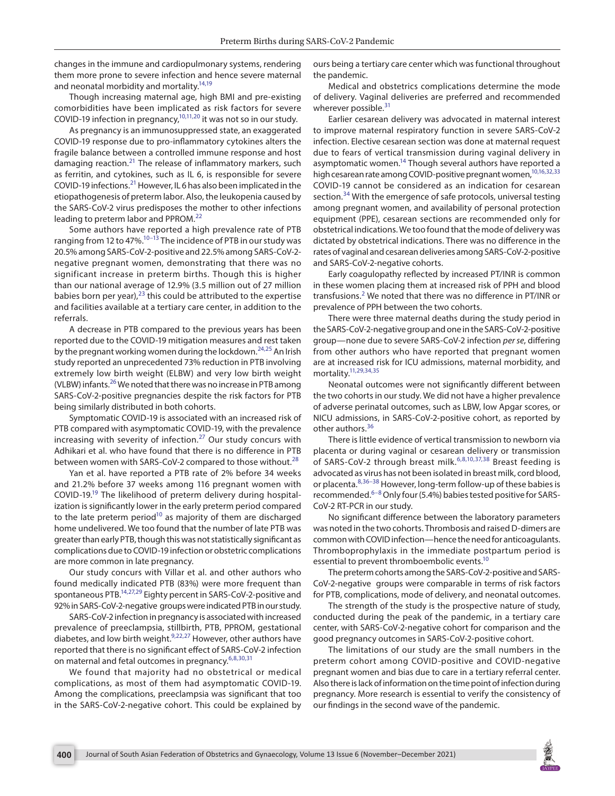changes in the immune and cardiopulmonary systems, rendering them more prone to severe infection and hence severe maternal and neonatal morbidity and mortality.<sup>14[,19](#page-5-21)</sup>

Though increasing maternal age, high BMI and pre-existing comorbidities have been implicated as risk factors for severe COVID-19 infection in pregnancy,  $10,11,20$  $10,11,20$  $10,11,20$  $10,11,20$  it was not so in our study.

As pregnancy is an immunosuppressed state, an exaggerated COVID-19 response due to pro-inflammatory cytokines alters the fragile balance between a controlled immune response and host damaging reaction. $^{21}$  The release of inflammatory markers, such as ferritin, and cytokines, such as IL 6, is responsible for severe COVID-19 infections.[21](#page-5-23) However, IL 6 has also been implicated in the etiopathogenesis of preterm labor. Also, the leukopenia caused by the SARS-CoV-2 virus predisposes the mother to other infections leading to preterm labor and PPROM.<sup>[22](#page-5-24)</sup>

Some authors have reported a high prevalence rate of PTB ranging from 12 to 47%. $10-13$  The incidence of PTB in our study was 20.5% among SARS-CoV-2-positive and 22.5% among SARS-CoV-2 negative pregnant women, demonstrating that there was no significant increase in preterm births. Though this is higher than our national average of 12.9% (3.5 million out of 27 million babies born per year), $23$  this could be attributed to the expertise and facilities available at a tertiary care center, in addition to the referrals.

A decrease in PTB compared to the previous years has been reported due to the COVID-19 mitigation measures and rest taken by the pregnant working women during the lockdown.<sup>[24](#page-5-26),[25](#page-5-27)</sup> An Irish study reported an unprecedented 73% reduction in PTB involving extremely low birth weight (ELBW) and very low birth weight (VLBW) infants. $^{26}$  We noted that there was no increase in PTB among SARS-CoV-2-positive pregnancies despite the risk factors for PTB being similarly distributed in both cohorts.

Symptomatic COVID-19 is associated with an increased risk of PTB compared with asymptomatic COVID-19, with the prevalence increasing with severity of infection.<sup>27</sup> Our study concurs with Adhikari et al. who have found that there is no difference in PTB between women with SARS-CoV-2 compared to those without.<sup>[28](#page-5-30)</sup>

Yan et al. have reported a PTB rate of 2% before 34 weeks and 21.2% before 37 weeks among 116 pregnant women with COVID-19[.19](#page-5-21) The likelihood of preterm delivery during hospitalization is significantly lower in the early preterm period compared to the late preterm period<sup>10</sup> as majority of them are discharged home undelivered. We too found that the number of late PTB was greater than early PTB, though this was not statistically significant as complications due to COVID-19 infection or obstetric complications are more common in late pregnancy.

Our study concurs with Villar et al. and other authors who found medically indicated PTB (83%) were more frequent than spontaneous PTB[.14](#page-5-8),[27,](#page-5-29)[29](#page-5-19) Eighty percent in SARS-CoV-2-positive and 92% in SARS-CoV-2-negative groups were indicated PTB in our study.

SARS-CoV-2 infection in pregnancy is associated with increased prevalence of preeclampsia, stillbirth, PTB, PPROM, gestational diabetes, and low birth weight.[9,](#page-5-4)[22](#page-5-24)[,27](#page-5-29) However, other authors have reported that there is no significant effect of SARS-CoV-2 infection on maternal and fetal outcomes in pregnancy.<sup>[6,](#page-5-7)[8](#page-5-20)[,30,](#page-5-31)[31](#page-5-14)</sup>

We found that majority had no obstetrical or medical complications, as most of them had asymptomatic COVID-19. Among the complications, preeclampsia was significant that too in the SARS-CoV-2-negative cohort. This could be explained by

ours being a tertiary care center which was functional throughout the pandemic.

Medical and obstetrics complications determine the mode of delivery. Vaginal deliveries are preferred and recommended wherever possible.<sup>[31](#page-5-14)</sup>

Earlier cesarean delivery was advocated in maternal interest to improve maternal respiratory function in severe SARS-CoV-2 infection. Elective cesarean section was done at maternal request due to fears of vertical transmission during vaginal delivery in asymptomatic women.<sup>14</sup> Though several authors have reported a high cesarean rate among COVID-positive pregnant women,<sup>10[,16](#page-5-11),[32](#page-5-15),[33](#page-5-16)</sup> COVID-19 cannot be considered as an indication for cesarean section.<sup>[34](#page-5-17)</sup> With the emergence of safe protocols, universal testing among pregnant women, and availability of personal protection equipment (PPE), cesarean sections are recommended only for obstetrical indications. We too found that the mode of delivery was dictated by obstetrical indications. There was no difference in the rates of vaginal and cesarean deliveries among SARS-CoV-2-positive and SARS-CoV-2-negative cohorts.

Early coagulopathy reflected by increased PT/INR is common in these women placing them at increased risk of PPH and blood transfusions.<sup>[2](#page-5-2)</sup> We noted that there was no difference in PT/INR or prevalence of PPH between the two cohorts.

There were three maternal deaths during the study period in the SARS-CoV-2-negative group and one in the SARS-CoV-2-positive group—none due to severe SARS-CoV-2 infection *per se*, differing from other authors who have reported that pregnant women are at increased risk for ICU admissions, maternal morbidity, and mortality[.11,](#page-5-18)[29,](#page-5-19)[34](#page-5-17)[,35](#page-6-0)

Neonatal outcomes were not significantly different between the two cohorts in our study. We did not have a higher prevalence of adverse perinatal outcomes, such as LBW, low Apgar scores, or NICU admissions, in SARS-CoV-2-positive cohort, as reported by other authors.<sup>[36](#page-6-1)</sup>

There is little evidence of vertical transmission to newborn via placenta or during vaginal or cesarean delivery or transmission of SARS-CoV-2 through breast milk.<sup>[6,](#page-5-7)[8,](#page-5-20)[10](#page-5-5),[37](#page-6-2),38</sup> Breast feeding is advocated as virus has not been isolated in breast milk, cord blood, or placenta. [8,](#page-5-20)[36](#page-6-1)-38 However, long-term follow-up of these babies is recommended.<sup>[6](#page-5-7)–[8](#page-5-20)</sup> Only four (5.4%) babies tested positive for SARS-CoV-2 RT-PCR in our study.

No significant difference between the laboratory parameters was noted in the two cohorts. Thrombosis and raised D-dimers are common with COVID infection—hence the need for anticoagulants. Thromboprophylaxis in the immediate postpartum period is essential to prevent thromboembolic events.<sup>10</sup>

The preterm cohorts among the SARS-CoV-2-positive and SARS-CoV-2-negative groups were comparable in terms of risk factors for PTB, complications, mode of delivery, and neonatal outcomes.

The strength of the study is the prospective nature of study, conducted during the peak of the pandemic, in a tertiary care center, with SARS-CoV-2-negative cohort for comparison and the good pregnancy outcomes in SARS-CoV-2-positive cohort.

The limitations of our study are the small numbers in the preterm cohort among COVID-positive and COVID-negative pregnant women and bias due to care in a tertiary referral center. Also there is lack of information on the time point of infection during pregnancy. More research is essential to verify the consistency of our findings in the second wave of the pandemic.

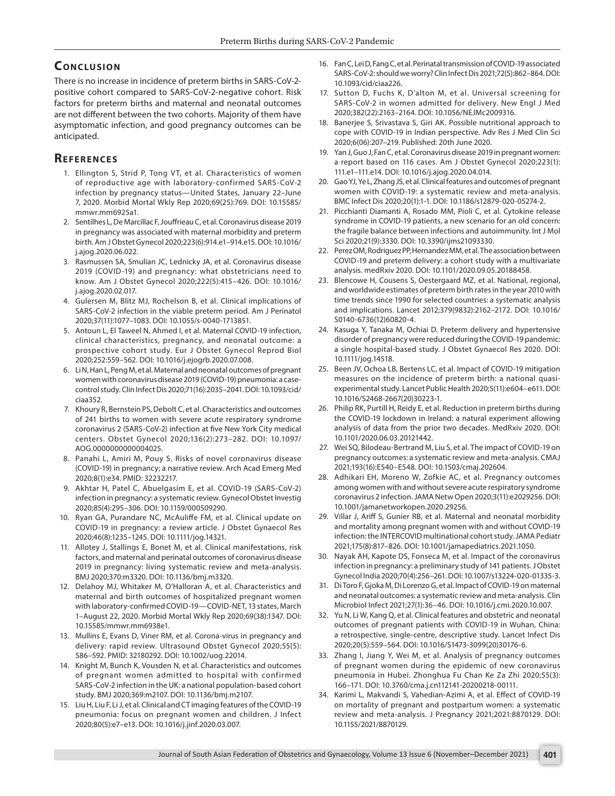# **CONCLUSION**

There is no increase in incidence of preterm births in SARS-CoV-2 positive cohort compared to SARS-CoV-2-negative cohort. Risk factors for preterm births and maternal and neonatal outcomes are not different between the two cohorts. Majority of them have asymptomatic infection, and good pregnancy outcomes can be anticipated.

# **REFERENCES**

- <span id="page-5-0"></span>1. Ellington S, Strid P, Tong VT, et al. Characteristics of women of reproductive age with laboratory-confirmed SARS-CoV-2 infection by pregnancy status—United States, January 22–June 7, 2020. Morbid Mortal Wkly Rep 2020;69(25):769. DOI: 10.15585/ mmwr.mm6925a1.
- <span id="page-5-2"></span>2. Sentilhes L, De Marcillac F, Jouffrieau C, et al. Coronavirus disease 2019 in pregnancy was associated with maternal morbidity and preterm birth. Am J Obstet Gynecol 2020;223(6):914.e1–914.e15. DOI: 10.1016/ j.ajog.2020.06.022.
- <span id="page-5-1"></span>3. Rasmussen SA, Smulian JC, Lednicky JA, et al. Coronavirus disease 2019 (COVID-19) and pregnancy: what obstetricians need to know. Am J Obstet Gynecol 2020;222(5):415–426. DOI: 10.1016/ j.ajog.2020.02.017.
- <span id="page-5-3"></span>4. Gulersen M, Blitz MJ, Rochelson B, et al. Clinical implications of SARS-CoV-2 infection in the viable preterm period. Am J Perinatol 2020;37(11):1077–1083. DOI: 10.1055/s-0040-1713851.
- 5. Antoun L, El Taweel N, Ahmed I, et al. Maternal COVID-19 infection, clinical characteristics, pregnancy, and neonatal outcome: a prospective cohort study. Eur J Obstet Gynecol Reprod Biol 2020;252:559–562. DOI: 10.1016/j.ejogrb.2020.07.008.
- <span id="page-5-7"></span>6. Li N, Han L, Peng M, et al. Maternal and neonatal outcomes of pregnant women with coronavirus disease 2019 (COVID-19) pneumonia: a casecontrol study. Clin Infect Dis 2020;71(16):2035–2041. DOI: 10.1093/cid/ ciaa352.
- <span id="page-5-9"></span>7. Khoury R, Bernstein PS, Debolt C, et al. Characteristics and outcomes of 241 births to women with severe acute respiratory syndrome coronavirus 2 (SARS-CoV-2) infection at five New York City medical centers. Obstet Gynecol 2020;136(2):273–282. DOI: 10.1097/ AOG.0000000000004025.
- <span id="page-5-20"></span>8. Panahi L, Amiri M, Pouy S. Risks of novel coronavirus disease (COVID-19) in pregnancy; a narrative review. Arch Acad Emerg Med 2020;8(1):e34. PMID: 32232217.
- <span id="page-5-4"></span>9. Akhtar H, Patel C, Abuelgasim E, et al. COVID-19 (SARS-CoV-2) infection in pregnancy: a systematic review. Gynecol Obstet Investig 2020;85(4):295–306. DOI: 10.1159/000509290.
- <span id="page-5-5"></span>10. Ryan GA, Purandare NC, McAuliffe FM, et al. Clinical update on COVID-19 in pregnancy: a review article. J Obstet Gynaecol Res 2020;46(8):1235–1245. DOI: 10.1111/jog.14321.
- <span id="page-5-18"></span>11. Allotey J, Stallings E, Bonet M, et al. Clinical manifestations, risk factors, and maternal and perinatal outcomes of coronavirus disease 2019 in pregnancy: living systematic review and meta-analysis. BMJ 2020;370:m3320. DOI: 10.1136/bmj.m3320.
- 12. Delahoy MJ, Whitaker M, O'Halloran A, et al. Characteristics and maternal and birth outcomes of hospitalized pregnant women with laboratory-confirmed COVID-19—COVID-NET, 13 states, March 1–August 22, 2020. Morbid Mortal Wkly Rep 2020;69(38):1347. DOI: 10.15585/mmwr.mm6938e1.
- <span id="page-5-6"></span>13. Mullins E, Evans D, Viner RM, et al. Corona-virus in pregnancy and delivery: rapid review. Ultrasound Obstet Gynecol 2020;55(5): 586–592. PMID: 32180292. DOI: 10.1002/uog.22014.
- <span id="page-5-8"></span>14. Knight M, Bunch K, Vousden N, et al. Characteristics and outcomes of pregnant women admitted to hospital with confirmed SARS-CoV-2 infection in the UK: a national population-based cohort study. BMJ 2020;369:m2107. DOI: 10.1136/bmj.m2107.
- <span id="page-5-10"></span>15. Liu H, Liu F, Li J, et al. Clinical and CT imaging features of the COVID-19 pneumonia: focus on pregnant women and children. J Infect 2020;80(5):e7–e13. DOI: 10.1016/j.jinf.2020.03.007.
- <span id="page-5-11"></span>16. Fan C, Lei D, Fang C, et al. Perinatal transmission of COVID-19 associated SARS-CoV-2: should we worry? Clin Infect Dis 2021;72(5):862–864. DOI: 10.1093/cid/ciaa226.
- <span id="page-5-12"></span>17. Sutton D, Fuchs K, D'alton M, et al. Universal screening for SARS-CoV-2 in women admitted for delivery. New Engl J Med 2020;382(22):2163–2164. DOI: 10.1056/NEJMc2009316.
- <span id="page-5-13"></span>18. Banerjee S, Srivastava S, Giri AK. Possible nutritional approach to cope with COVID-19 in Indian perspective. Adv Res J Med Clin Sci 2020;6(06):207–219. Published: 20th June 2020.
- <span id="page-5-21"></span>19. Yan J, Guo J, Fan C, et al. Coronavirus disease 2019 in pregnant women: a report based on 116 cases. Am J Obstet Gynecol 2020;223(1): 111.e1–111.e14. DOI: 10.1016/j.ajog.2020.04.014.
- <span id="page-5-22"></span>20. Gao YJ, Ye L, Zhang JS, et al. Clinical features and outcomes of pregnant women with COVID-19: a systematic review and meta-analysis. BMC Infect Dis 2020;20(1):1-1. DOI: 10.1186/s12879-020-05274-2.
- <span id="page-5-23"></span>21. Picchianti Diamanti A, Rosado MM, Pioli C, et al. Cytokine release syndrome in COVID-19 patients, a new scenario for an old concern: the fragile balance between infections and autoimmunity. Int J Mol Sci 2020;21(9):3330. DOI: 10.3390/ijms21093330.
- <span id="page-5-24"></span>22. Perez OM, Rodriguez PP, Hernandez MM, et al. The association between COVID-19 and preterm delivery: a cohort study with a multivariate analysis. medRxiv 2020. DOI: 10.1101/2020.09.05.20188458.
- <span id="page-5-25"></span>23. Blencowe H, Cousens S, Oestergaard MZ, et al. National, regional, and worldwide estimates of preterm birth rates in the year 2010 with time trends since 1990 for selected countries: a systematic analysis and implications. Lancet 2012;379(9832):2162–2172. DOI: 10.1016/ S0140-6736(12)60820-4.
- <span id="page-5-26"></span>24. Kasuga Y, Tanaka M, Ochiai D. Preterm delivery and hypertensive disorder of pregnancy were reduced during the COVID‐19 pandemic: a single hospital-based study. J Obstet Gynaecol Res 2020. DOI: 10.1111/jog.14518.
- <span id="page-5-27"></span>25. Been JV, Ochoa LB, Bertens LC, et al. Impact of COVID-19 mitigation measures on the incidence of preterm birth: a national quasiexperimental study. Lancet Public Health 2020;5(11):e604–e611. DOI: 10.1016/S2468-2667(20)30223-1.
- <span id="page-5-28"></span>26. Philip RK, Purtill H, Reidy E, et al. Reduction in preterm births during the COVID-19 lockdown in Ireland: a natural experiment allowing analysis of data from the prior two decades. MedRxiv 2020. DOI: 10.1101/2020.06.03.20121442.
- <span id="page-5-29"></span>27. Wei SQ, Bilodeau-Bertrand M, Liu S, et al. The impact of COVID-19 on pregnancy outcomes: a systematic review and meta-analysis. CMAJ 2021;193(16):E540–E548. DOI: 10.1503/cmaj.202604.
- <span id="page-5-30"></span>28. Adhikari EH, Moreno W, Zofkie AC, et al. Pregnancy outcomes among women with and without severe acute respiratory syndrome coronavirus 2 infection. JAMA Netw Open 2020;3(11):e2029256. DOI: 10.1001/jamanetworkopen.2020.29256.
- <span id="page-5-19"></span>29. Villar J, Ariff S, Gunier RB, et al. Maternal and neonatal morbidity and mortality among pregnant women with and without COVID-19 infection: the INTERCOVID multinational cohort study. JAMA Pediatr 2021;175(8):817–826. DOI: 10.1001/jamapediatrics.2021.1050.
- <span id="page-5-31"></span>30. Nayak AH, Kapote DS, Fonseca M, et al. Impact of the coronavirus infection in pregnancy: a preliminary study of 141 patients. J Obstet Gynecol India 2020;70(4):256–261. DOI: 10.1007/s13224-020-01335-3.
- <span id="page-5-14"></span>31. Di Toro F, Gjoka M, Di Lorenzo G, et al. Impact of COVID-19 on maternal and neonatal outcomes: a systematic review and meta-analysis. Clin Microbiol Infect 2021;27(1):36–46. DOI: 10.1016/j.cmi.2020.10.007.
- <span id="page-5-15"></span>32. Yu N, Li W, Kang Q, et al. Clinical features and obstetric and neonatal outcomes of pregnant patients with COVID-19 in Wuhan, China: a retrospective, single-centre, descriptive study. Lancet Infect Dis 2020;20(5):559–564. DOI: 10.1016/S1473-3099(20)30176-6.
- <span id="page-5-16"></span>33. Zhang I, Jiang Y, Wei M, et al. Analysis of pregnancy outcomes of pregnant women during the epidemic of new coronavirus pneumonia in Hubei. Zhonghua Fu Chan Ke Za Zhi 2020;55(3): 166–171. DOI: 10.3760/cma.j.cn112141-20200218-00111.
- <span id="page-5-17"></span>34. Karimi L, Makvandi S, Vahedian-Azimi A, et al. Effect of COVID-19 on mortality of pregnant and postpartum women: a systematic review and meta-analysis. J Pregnancy 2021;2021:8870129. DOI: 10.1155/2021/8870129.